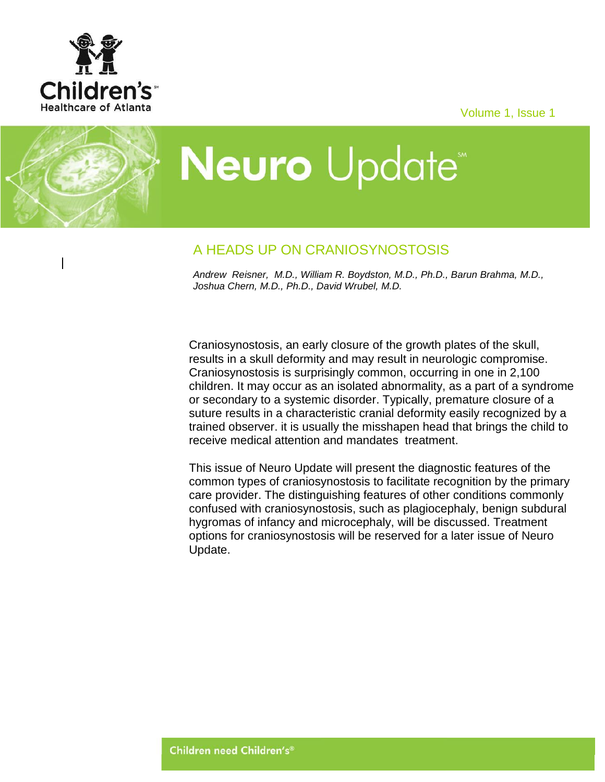

Volume 1, Issue 1

# **Neuro** Update<sup>®</sup>

# A HEADS UP ON CRANIOSYNOSTOSIS

*Andrew Reisner, M.D., William R. Boydston, M.D., Ph.D., Barun Brahma, M.D., Joshua Chern, M.D., Ph.D., David Wrubel, M.D.*

Craniosynostosis, an early closure of the growth plates of the skull, results in a skull deformity and may result in neurologic compromise. Craniosynostosis is surprisingly common, occurring in one in 2,100 children. It may occur as an isolated abnormality, as a part of a syndrome or secondary to a systemic disorder. Typically, premature closure of a suture results in a characteristic cranial deformity easily recognized by a trained observer. it is usually the misshapen head that brings the child to receive medical attention and mandates treatment.

This issue of Neuro Update will present the diagnostic features of the common types of craniosynostosis to facilitate recognition by the primary care provider. The distinguishing features of other conditions commonly confused with craniosynostosis, such as plagiocephaly, benign subdural hygromas of infancy and microcephaly, will be discussed. Treatment options for craniosynostosis will be reserved for a later issue of Neuro Update.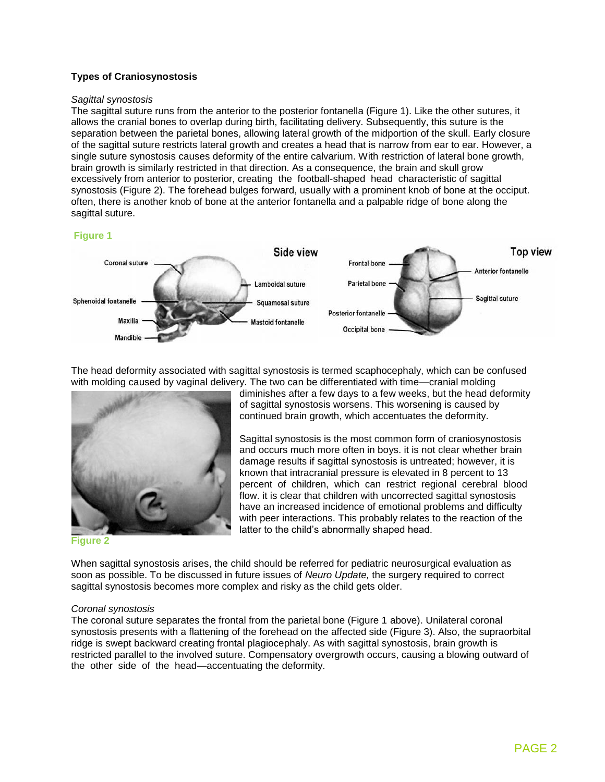## **Types of Craniosynostosis**

#### *Sagittal synostosis*

The sagittal suture runs from the anterior to the posterior fontanella (Figure 1). Like the other sutures, it allows the cranial bones to overlap during birth, facilitating delivery. Subsequently, this suture is the separation between the parietal bones, allowing lateral growth of the midportion of the skull. Early closure of the sagittal suture restricts lateral growth and creates a head that is narrow from ear to ear. However, a single suture synostosis causes deformity of the entire calvarium. With restriction of lateral bone growth, brain growth is similarly restricted in that direction. As a consequence, the brain and skull grow excessively from anterior to posterior, creating the football-shaped head characteristic of sagittal synostosis (Figure 2). The forehead bulges forward, usually with a prominent knob of bone at the occiput. often, there is another knob of bone at the anterior fontanella and a palpable ridge of bone along the sagittal suture.

### **Figure 1**



The head deformity associated with sagittal synostosis is termed scaphocephaly, which can be confused with molding caused by vaginal delivery. The two can be differentiated with time—cranial molding



**Figure 2**

diminishes after a few days to a few weeks, but the head deformity of sagittal synostosis worsens. This worsening is caused by continued brain growth, which accentuates the deformity.

Sagittal synostosis is the most common form of craniosynostosis and occurs much more often in boys. it is not clear whether brain damage results if sagittal synostosis is untreated; however, it is known that intracranial pressure is elevated in 8 percent to 13 percent of children, which can restrict regional cerebral blood flow. it is clear that children with uncorrected sagittal synostosis have an increased incidence of emotional problems and difficulty with peer interactions. This probably relates to the reaction of the latter to the child's abnormally shaped head.

When sagittal synostosis arises, the child should be referred for pediatric neurosurgical evaluation as soon as possible. To be discussed in future issues of *Neuro Update,* the surgery required to correct sagittal synostosis becomes more complex and risky as the child gets older.

#### *Coronal synostosis*

The coronal suture separates the frontal from the parietal bone (Figure 1 above). Unilateral coronal synostosis presents with a flattening of the forehead on the affected side (Figure 3). Also, the supraorbital ridge is swept backward creating frontal plagiocephaly. As with sagittal synostosis, brain growth is restricted parallel to the involved suture. Compensatory overgrowth occurs, causing a blowing outward of the other side of the head—accentuating the deformity.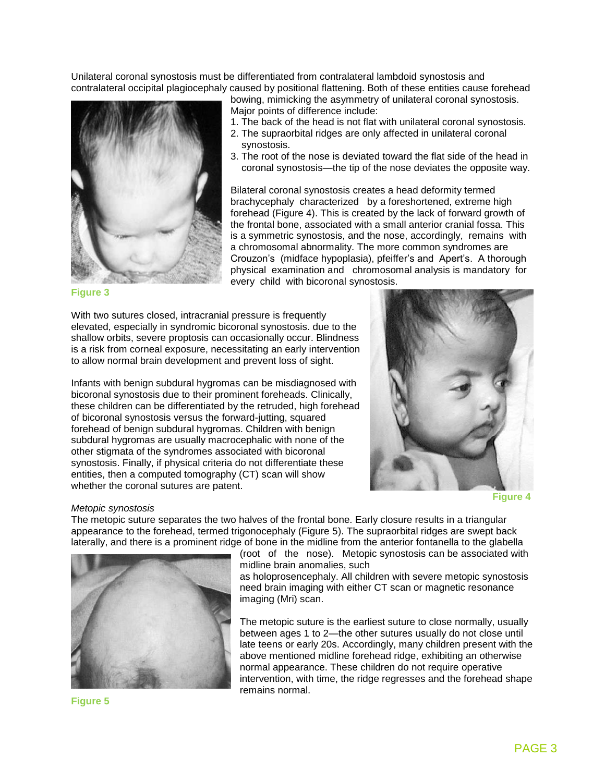Unilateral coronal synostosis must be differentiated from contralateral lambdoid synostosis and contralateral occipital plagiocephaly caused by positional flattening. Both of these entities cause forehead



bowing, mimicking the asymmetry of unilateral coronal synostosis. Major points of difference include:

- 1. The back of the head is not flat with unilateral coronal synostosis.
- 2. The supraorbital ridges are only affected in unilateral coronal synostosis.
- 3. The root of the nose is deviated toward the flat side of the head in coronal synostosis—the tip of the nose deviates the opposite way.

Bilateral coronal synostosis creates a head deformity termed brachycephaly characterized by a foreshortened, extreme high forehead (Figure 4). This is created by the lack of forward growth of the frontal bone, associated with a small anterior cranial fossa. This is a symmetric synostosis, and the nose, accordingly, remains with a chromosomal abnormality. The more common syndromes are Crouzon's (midface hypoplasia), pfeiffer's and Apert's. A thorough physical examination and chromosomal analysis is mandatory for every child with bicoronal synostosis.

#### **Figure 3**

With two sutures closed, intracranial pressure is frequently elevated, especially in syndromic bicoronal synostosis. due to the shallow orbits, severe proptosis can occasionally occur. Blindness is a risk from corneal exposure, necessitating an early intervention to allow normal brain development and prevent loss of sight.

Infants with benign subdural hygromas can be misdiagnosed with bicoronal synostosis due to their prominent foreheads. Clinically, these children can be differentiated by the retruded, high forehead of bicoronal synostosis versus the forward-jutting, squared forehead of benign subdural hygromas. Children with benign subdural hygromas are usually macrocephalic with none of the other stigmata of the syndromes associated with bicoronal synostosis. Finally, if physical criteria do not differentiate these entities, then a computed tomography (CT) scan will show whether the coronal sutures are patent.



 **Figure 4**

#### *Metopic synostosis*

The metopic suture separates the two halves of the frontal bone. Early closure results in a triangular appearance to the forehead, termed trigonocephaly (Figure 5). The supraorbital ridges are swept back laterally, and there is a prominent ridge of bone in the midline from the anterior fontanella to the glabella



(root of the nose). Metopic synostosis can be associated with midline brain anomalies, such

as holoprosencephaly. All children with severe metopic synostosis need brain imaging with either CT scan or magnetic resonance imaging (Mri) scan.

The metopic suture is the earliest suture to close normally, usually between ages 1 to 2—the other sutures usually do not close until late teens or early 20s. Accordingly, many children present with the above mentioned midline forehead ridge, exhibiting an otherwise normal appearance. These children do not require operative intervention, with time, the ridge regresses and the forehead shape remains normal.

**Figure 5**